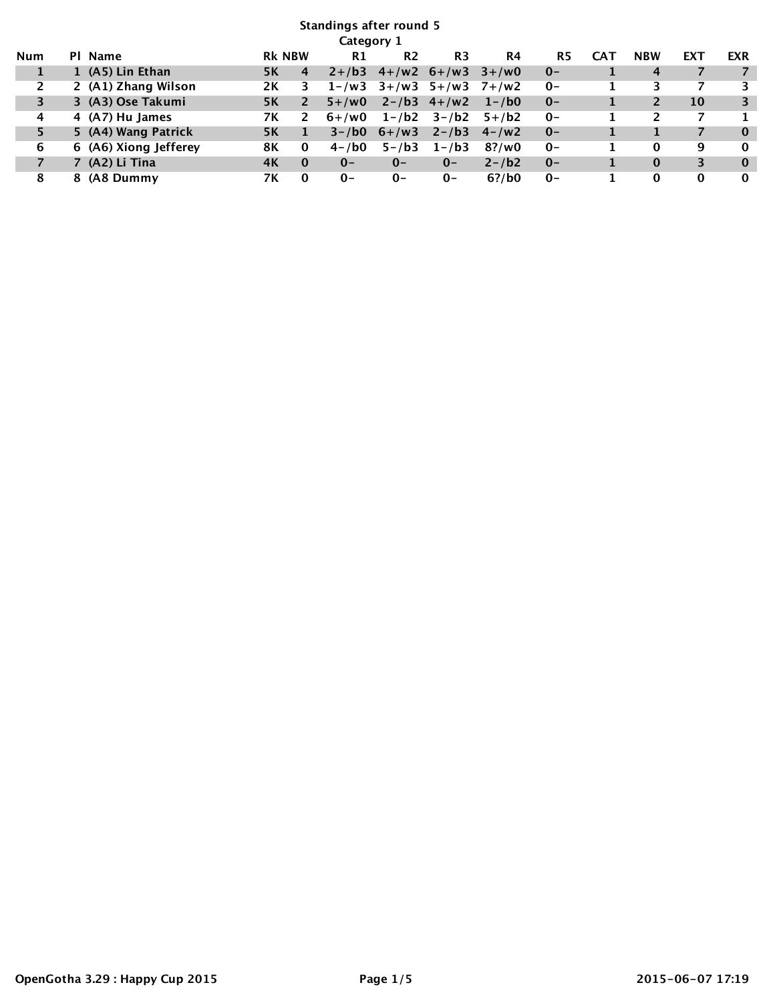| <b>Standings after round 5</b> |  |                       |               |          |                |                |                           |            |       |              |            |          |            |
|--------------------------------|--|-----------------------|---------------|----------|----------------|----------------|---------------------------|------------|-------|--------------|------------|----------|------------|
| Category 1                     |  |                       |               |          |                |                |                           |            |       |              |            |          |            |
| Num                            |  | PI Name               | <b>RK NBW</b> |          | R1             | R <sub>2</sub> | R <sub>3</sub>            | R4         | R5    | <b>CAT</b>   | <b>NBW</b> | EXT      | <b>EXR</b> |
| 1                              |  | 1 (A5) Lin Ethan      | 5K            | 4        | $2 + ib3$      |                | $4+/\sqrt{2} 6+/\sqrt{3}$ | $3 + /w0$  | $0 -$ | 1            | 4          |          |            |
| $\overline{2}$                 |  | 2 (A1) Zhang Wilson   | 2K            | 3        | $1 - \sqrt{w}$ | $3 + /w3$      | $5 + /w3$                 | 7+/w2      | $0-$  | 1            | 3          |          | 3          |
| 3                              |  | 3 (A3) Ose Takumi     | <b>5K</b>     | 2        | $5 + /w0$      |                | $2 - b3 \t 4 + w2$        | $1 - / b0$ | $0 -$ | 1            |            | 10       | 3          |
| 4                              |  | 4 (A7) Hu James       | 7К            | 2        | $6+$ /w0       | $1 - / b2$     | $3 - / b2$                | $5 + / b2$ | $0 -$ | 1            |            |          |            |
| 5                              |  | 5 (A4) Wang Patrick   | <b>5K</b>     |          | $3 - 1$ bo     | $6 + / w3$     | $2 - ib3$                 | $4 - /w2$  | $0 -$ | 1            |            |          | $\bf{0}$   |
| 6                              |  | 6 (A6) Xiong Jefferey | 8Κ            | 0        | $4 - / b0$     | $5 - / b3$     | $1 - ib3$                 | $8?$ /w0   | $O -$ | 1            | 0          | 9        | $\bf{0}$   |
| $\overline{7}$                 |  | 7 (A2) Li Tina        | 4K            | $\bf{0}$ | $0 -$          | $0 -$          | $0 -$                     | $2 - 1b2$  | $0 -$ | $\mathbf{1}$ | $\Omega$   | 3        | $\bf{0}$   |
| 8                              |  | 8 (A8 Dummy           | 7К            | $\bf{0}$ | $0 -$          | $0-$           | $0-$                      | $6?$ /b0   | $0-$  |              | 0          | $\bf{0}$ | $\bf{0}$   |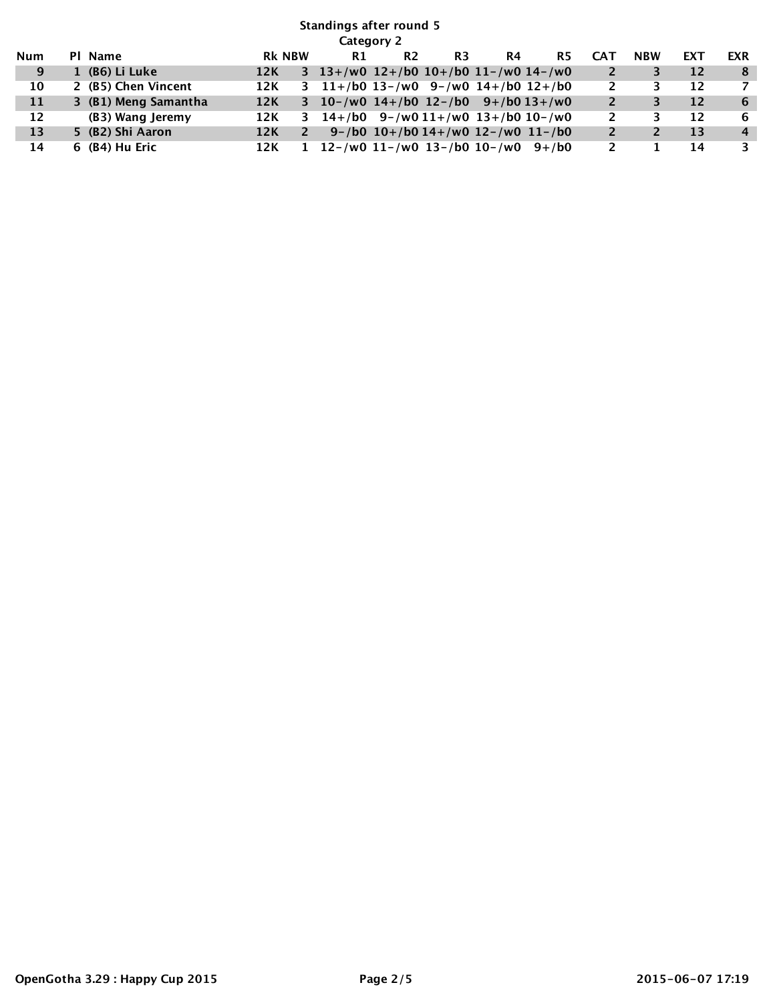## **Standings after round 5 Category 2 Num Pl Name Rk NBW R1 R2 R3 R4 R5 CAT NBW EXT EXR 9 1 (B6) Li Luke 12K 3 13+/w0 12+/b0 10+/b0 11-/w0 14-/w0 2 3 12 8 10 2 (B5) Chen Vincent 12K 3 11+/b0 13-/w0 9-/w0 14+/b0 12+/b0 2 3 12 7 11 3 (B1) Meng Samantha 12K 3 10-/w0 14+/b0 12-/b0 9+/b0 13+/w0 2 3 12 6 12 (B3) Wang Jeremy 12K 3 14+/b0 9-/w0 11+/w0 13+/b0 10-/w0 2 3 12 6 13 5 (B2) Shi Aaron 12K 2 9-/b0 10+/b0 14+/w0 12-/w0 11-/b0 2 2 13 4 14 6 (B4) Hu Eric 12K 1 12-/w0 11-/w0 13-/b0 10-/w0 9+/b0 2 1 14 3**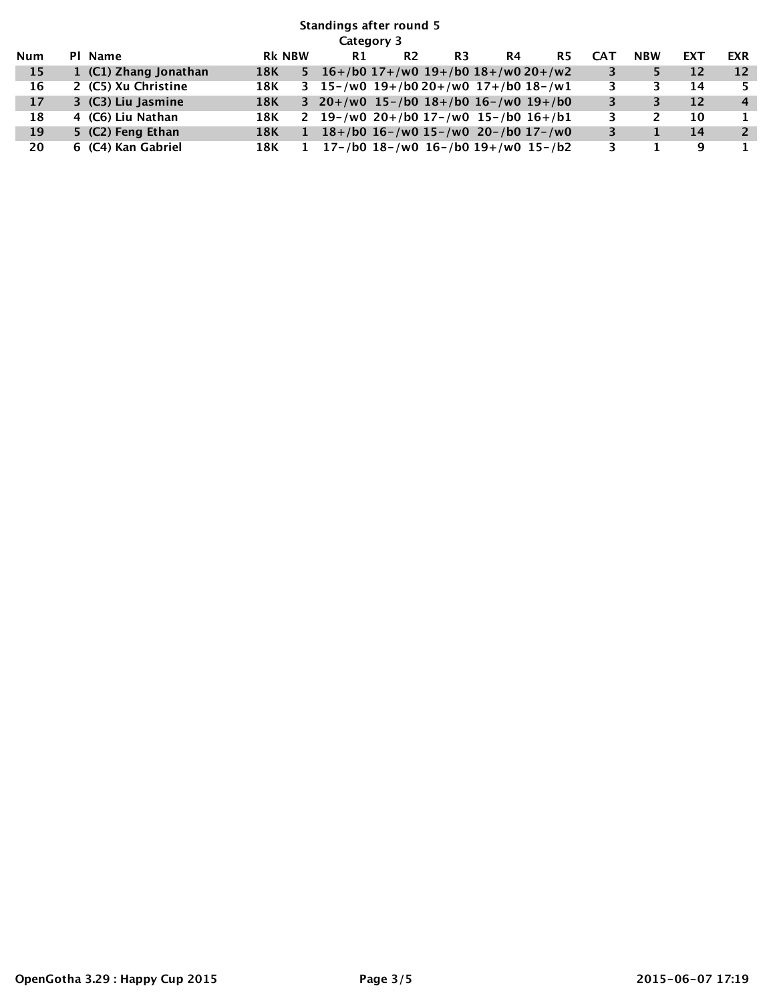## **Standings after round 5 Category 3 Num Pl Name Rk NBW R1 R2 R3 R4 R5 CAT NBW EXT EXR 15 1 (C1) Zhang Jonathan 18K 5 16+/b0 17+/w0 19+/b0 18+/w0 20+/w2 3 5 12 12 16 2 (C5) Xu Christine 18K 3 15-/w0 19+/b0 20+/w0 17+/b0 18-/w1 3 3 14 5 17 3 (C3) Liu Jasmine 18K 3 20+/w0 15-/b0 18+/b0 16-/w0 19+/b0 3 3 12 4 18 4 (C6) Liu Nathan 18K 2 19-/w0 20+/b0 17-/w0 15-/b0 16+/b1 3 2 10 1 19 5 (C2) Feng Ethan 18K 1 18+/b0 16-/w0 15-/w0 20-/b0 17-/w0 3 1 14 2 20 6 (C4) Kan Gabriel 18K 1 17-/b0 18-/w0 16-/b0 19+/w0 15-/b2 3 1 9 1**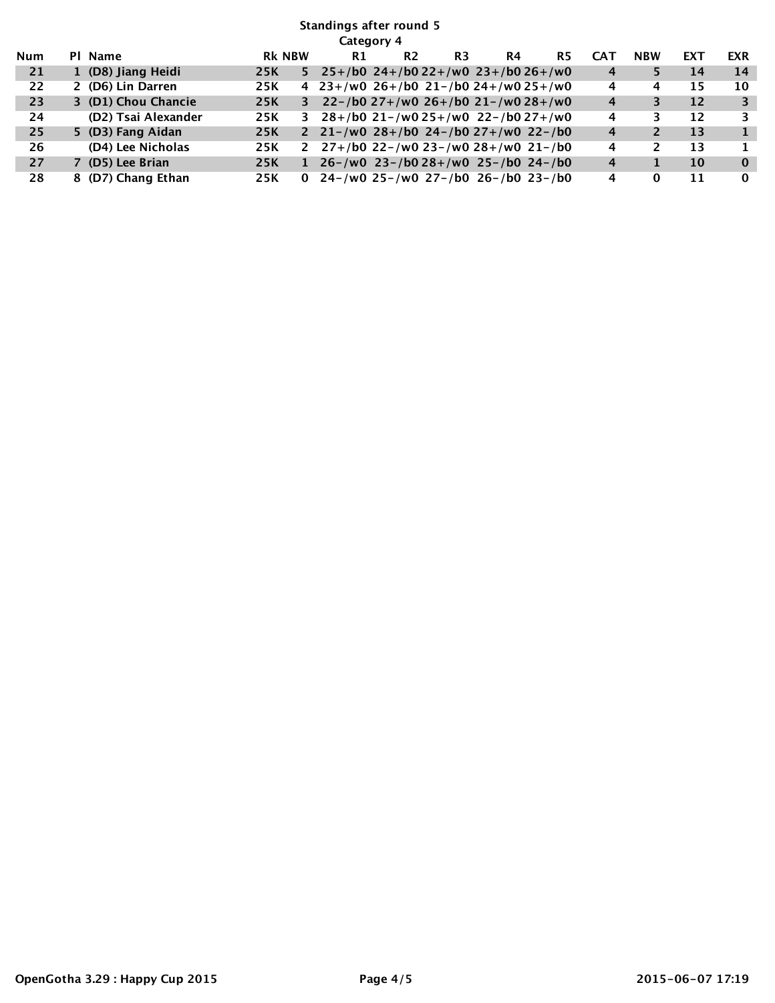## **Standings after round 5 Category 4**

|            | сиссиот т |                     |     |               |                                                    |                |    |                                        |           |            |            |     |            |
|------------|-----------|---------------------|-----|---------------|----------------------------------------------------|----------------|----|----------------------------------------|-----------|------------|------------|-----|------------|
| <b>Num</b> |           | PI Name             |     | <b>RK NBW</b> | R1                                                 | R <sub>2</sub> | R3 | R4                                     | <b>R5</b> | <b>CAT</b> | <b>NBW</b> | EXT | <b>EXR</b> |
| 21         |           | 1 (D8) Jiang Heidi  | 25K | 5.            | $25+/b0$ 24+/b0 22+/w0 23+/b0 26+/w0               |                |    |                                        |           | 4          |            | 14  | 14         |
| 22         |           | 2 (D6) Lin Darren   | 25K |               | 4 $23+/w0$ $26+/b0$ $21-/b0$ $24+/w0$ $25+/w0$     |                |    |                                        |           | 4          | 4          | 15  | 10         |
| 23         |           | 3 (D1) Chou Chancie | 25K |               | 3 22-/b0 27+/w0 26+/b0 21-/w0 28+/w0               |                |    |                                        |           | 4          |            | 12  |            |
| 24         |           | (D2) Tsai Alexander | 25K | 3             | $28+/b0$ 21-/w0 25+/w0 22-/b0 27+/w0               |                |    |                                        |           | 4          |            | 12  | 3          |
| 25         |           | 5 (D3) Fang Aidan   | 25K |               | 2 21 - /w0 28 + /b0 24 - /b0 27 + /w0 22 - /b0     |                |    |                                        |           | 4          |            | 13  |            |
| 26         |           | (D4) Lee Nicholas   | 25K |               | 2 $27+160$ 22- $100$ 23- $100$ 28+ $100$ 21- $100$ |                |    |                                        |           | 4          |            | 13  |            |
| 27         |           | (D5) Lee Brian      | 25K | 1             |                                                    |                |    | $26 - /w0$ 23-/b0 28+/w0 25-/b0 24-/b0 |           | 4          |            | 10  | $\bf{0}$   |
| 28         |           | 8 (D7) Chang Ethan  | 25K |               | 0 24 - /w0 25 - /w0 27 - /b0 26 - /b0 23 - /b0     |                |    |                                        |           | 4          | 0          | 11  | $\Omega$   |